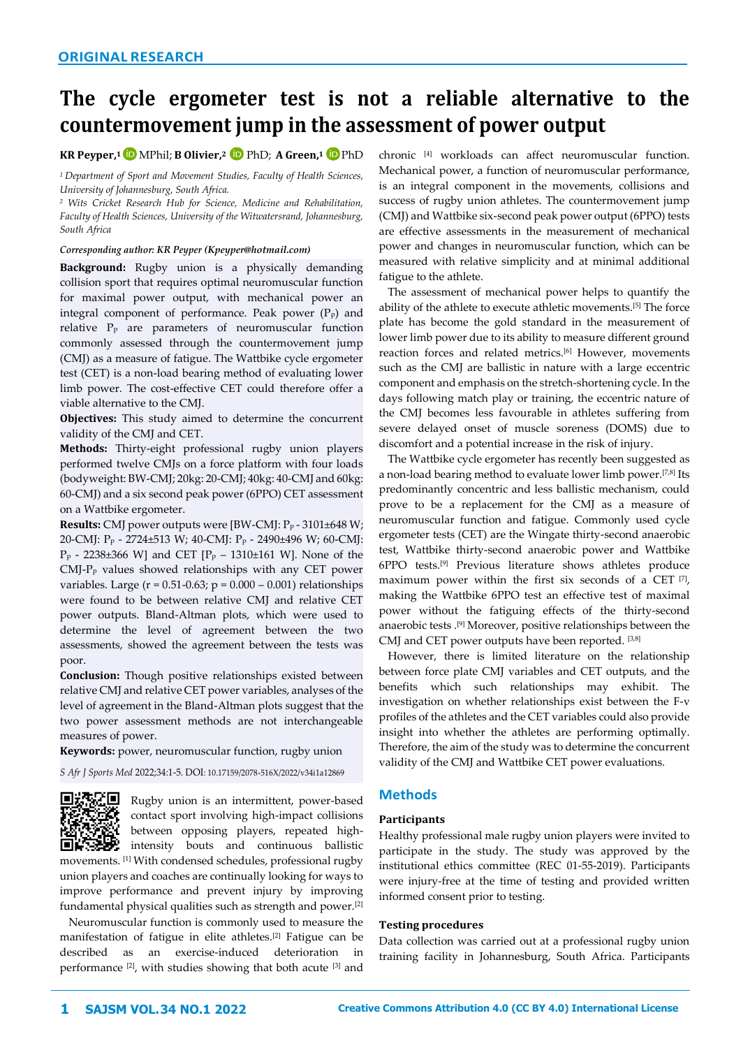# **The cycle ergometer test is not a reliable alternative to the countermovement jump in the assessment of power output**

# **KR Peyper, <sup>1</sup>**MPhil; **B Olivier, <sup>2</sup>** PhD; **A Green, <sup>1</sup>** PhD

*<sup>1</sup>Department of Sport and Movement Studies, Faculty of Health Sciences, University of Johannesburg, South Africa.*

*<sup>2</sup> Wits Cricket Research Hub for Science, Medicine and Rehabilitation, Faculty of Health Sciences, University of the Witwatersrand, Johannesburg, South Africa*

#### *Corresponding author: KR Peyper [\(Kpeyper@hotmail.com\)](mailto:Kpeyper@hotmail.com)*

**Background:** Rugby union is a physically demanding collision sport that requires optimal neuromuscular function for maximal power output, with mechanical power an integral component of performance. Peak power  $(P<sub>p</sub>)$  and relative P<sup>p</sup> are parameters of neuromuscular function commonly assessed through the countermovement jump (CMJ) as a measure of fatigue. The Wattbike cycle ergometer test (CET) is a non-load bearing method of evaluating lower limb power. The cost-effective CET could therefore offer a viable alternative to the CMJ.

**Objectives:** This study aimed to determine the concurrent validity of the CMJ and CET.

**Methods:** Thirty-eight professional rugby union players performed twelve CMJs on a force platform with four loads (bodyweight: BW-CMJ; 20kg: 20-CMJ; 40kg: 40-CMJ and 60kg: 60-CMJ) and a six second peak power (6PPO) CET assessment on a Wattbike ergometer.

**Results:** CMJ power outputs were [BW-CMJ: P<sup>p</sup> - 3101±648 W; 20-CMJ: P<sup>p</sup> - 2724±513 W; 40-CMJ: P<sup>p</sup> - 2490±496 W; 60-CMJ:  $P_p$  - 2238±366 W] and CET  $[P_p - 1310 \pm 161$  W]. None of the CMJ-P<sup>p</sup> values showed relationships with any CET power variables. Large ( $r = 0.51 - 0.63$ ;  $p = 0.000 - 0.001$ ) relationships were found to be between relative CMJ and relative CET power outputs. Bland-Altman plots, which were used to determine the level of agreement between the two assessments, showed the agreement between the tests was poor.

**Conclusion:** Though positive relationships existed between relative CMJ and relative CET power variables, analyses of the level of agreement in the Bland-Altman plots suggest that the two power assessment methods are not interchangeable measures of power.

#### **Keywords:** power, neuromuscular function, rugby union

*S Afr J Sports Med* 2022;34:1-5. DOI: [10.17159/2078-516X/2022/v34i1a12869](http://dx.doi.org/10.17159/2078-516X/2022/v34i1a12869) 



Rugby union is an intermittent, power-based contact sport involving high-impact collisions between opposing players, repeated highintensity bouts and continuous ballistic

movements. [1] With condensed schedules, professional rugby union players and coaches are continually looking for ways to improve performance and prevent injury by improving fundamental physical qualities such as strength and power.[2]

Neuromuscular function is commonly used to measure the manifestation of fatigue in elite athletes.[2] Fatigue can be described as an exercise-induced deterioration in performance [2], with studies showing that both acute [3] and

chronic [4] workloads can affect neuromuscular function. Mechanical power, a function of neuromuscular performance, is an integral component in the movements, collisions and success of rugby union athletes. The countermovement jump (CMJ) and Wattbike six-second peak power output (6PPO) tests are effective assessments in the measurement of mechanical power and changes in neuromuscular function, which can be measured with relative simplicity and at minimal additional fatigue to the athlete.

The assessment of mechanical power helps to quantify the ability of the athlete to execute athletic movements.[5] The force plate has become the gold standard in the measurement of lower limb power due to its ability to measure different ground reaction forces and related metrics.<sup>[6]</sup> However, movements such as the CMJ are ballistic in nature with a large eccentric component and emphasis on the stretch-shortening cycle. In the days following match play or training, the eccentric nature of the CMJ becomes less favourable in athletes suffering from severe delayed onset of muscle soreness (DOMS) due to discomfort and a potential increase in the risk of injury.

The Wattbike cycle ergometer has recently been suggested as a non-load bearing method to evaluate lower limb power.[7,8] Its predominantly concentric and less ballistic mechanism, could prove to be a replacement for the CMJ as a measure of neuromuscular function and fatigue. Commonly used cycle ergometer tests (CET) are the Wingate thirty-second anaerobic test, Wattbike thirty-second anaerobic power and Wattbike 6PPO tests.[9] Previous literature shows athletes produce maximum power within the first six seconds of a CET [7] , making the Wattbike 6PPO test an effective test of maximal power without the fatiguing effects of the thirty-second anaerobic tests .[9] Moreover, positive relationships between the CMJ and CET power outputs have been reported. [3,8]

However, there is limited literature on the relationship between force plate CMJ variables and CET outputs, and the benefits which such relationships may exhibit. The investigation on whether relationships exist between the F-v profiles of the athletes and the CET variables could also provide insight into whether the athletes are performing optimally. Therefore, the aim of the study was to determine the concurrent validity of the CMJ and Wattbike CET power evaluations.

# **Methods**

#### **Participants**

Healthy professional male rugby union players were invited to participate in the study. The study was approved by the institutional ethics committee (REC 01-55-2019). Participants were injury-free at the time of testing and provided written informed consent prior to testing.

#### **Testing procedures**

Data collection was carried out at a professional rugby union training facility in Johannesburg, South Africa. Participants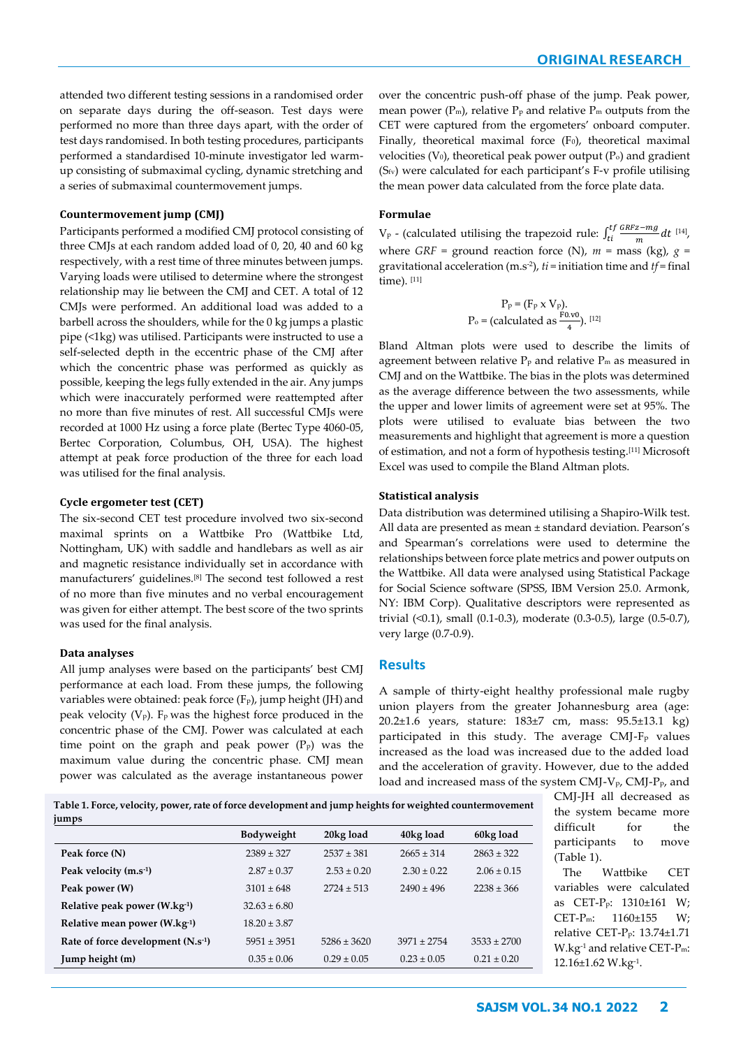attended two different testing sessions in a randomised order on separate days during the off-season. Test days were performed no more than three days apart, with the order of test days randomised. In both testing procedures, participants performed a standardised 10-minute investigator led warmup consisting of submaximal cycling, dynamic stretching and a series of submaximal countermovement jumps.

#### **Countermovement jump (CMJ)**

Participants performed a modified CMJ protocol consisting of three CMJs at each random added load of 0, 20, 40 and 60 kg respectively, with a rest time of three minutes between jumps. Varying loads were utilised to determine where the strongest relationship may lie between the CMJ and CET. A total of 12 CMJs were performed. An additional load was added to a barbell across the shoulders, while for the 0 kg jumps a plastic pipe (<1kg) was utilised. Participants were instructed to use a self-selected depth in the eccentric phase of the CMJ after which the concentric phase was performed as quickly as possible, keeping the legs fully extended in the air. Any jumps which were inaccurately performed were reattempted after no more than five minutes of rest. All successful CMJs were recorded at 1000 Hz using a force plate (Bertec Type 4060-05, Bertec Corporation, Columbus, OH, USA). The highest attempt at peak force production of the three for each load was utilised for the final analysis.

#### **Cycle ergometer test (CET)**

The six-second CET test procedure involved two six-second maximal sprints on a Wattbike Pro (Wattbike Ltd, Nottingham, UK) with saddle and handlebars as well as air and magnetic resistance individually set in accordance with manufacturers' guidelines.[8] The second test followed a rest of no more than five minutes and no verbal encouragement was given for either attempt. The best score of the two sprints was used for the final analysis.

#### **Data analyses**

All jump analyses were based on the participants' best CMJ performance at each load. From these jumps, the following variables were obtained: peak force (Fp), jump height (JH) and peak velocity  $(V_P)$ . F<sub>p</sub> was the highest force produced in the concentric phase of the CMJ. Power was calculated at each time point on the graph and peak power  $(P<sub>p</sub>)$  was the maximum value during the concentric phase. CMJ mean power was calculated as the average instantaneous power over the concentric push-off phase of the jump. Peak power, mean power ( $P_m$ ), relative  $P_p$  and relative  $P_m$  outputs from the CET were captured from the ergometers' onboard computer. Finally, theoretical maximal force (F<sub>0</sub>), theoretical maximal velocities ( $V_0$ ), theoretical peak power output ( $P_0$ ) and gradient (Sfv) were calculated for each participant's F-v profile utilising the mean power data calculated from the force plate data.

#### **Formulae**

V<sub>p</sub> - (calculated utilising the trapezoid rule:  $\int_{t_i}^{t_f} \frac{GRFz - mg}{m}$ <sup>tf</sup>  $\frac{GRFz - mg}{m} dt$ <sup>[14]</sup>, where *GRF* = ground reaction force (N),  $m = \text{mass (kg)}$ ,  $g =$ gravitational acceleration (m.s-2 ), *ti* = initiation time and *tf* = final time). [11]

$$
P_P = (F_P \times V_P).
$$
  
P<sub>o</sub> = (calculated as  $\frac{F0.v0}{4}$ ).  
[12]

Bland Altman plots were used to describe the limits of agreement between relative  $P_p$  and relative  $P_m$  as measured in CMJ and on the Wattbike. The bias in the plots was determined as the average difference between the two assessments, while the upper and lower limits of agreement were set at 95%. The plots were utilised to evaluate bias between the two measurements and highlight that agreement is more a question of estimation, and not a form of hypothesis testing.[11] Microsoft Excel was used to compile the Bland Altman plots.

#### **Statistical analysis**

Data distribution was determined utilising a Shapiro-Wilk test. All data are presented as mean ± standard deviation. Pearson's and Spearman's correlations were used to determine the relationships between force plate metrics and power outputs on the Wattbike. All data were analysed using Statistical Package for Social Science software (SPSS, IBM Version 25.0. Armonk, NY: IBM Corp). Qualitative descriptors were represented as trivial (<0.1), small (0.1-0.3), moderate (0.3-0.5), large (0.5-0.7), very large (0.7-0.9).

#### **Results**

A sample of thirty-eight healthy professional male rugby union players from the greater Johannesburg area (age: 20.2±1.6 years, stature: 183±7 cm, mass: 95.5±13.1 kg) participated in this study. The average CMJ-F<sub>p</sub> values increased as the load was increased due to the added load and the acceleration of gravity. However, due to the added load and increased mass of the system CMJ-Vp, CMJ-Pp, and

**Table 1. Force, velocity, power, rate of force development and jump heights for weighted countermovement jumps**

|                                     | <b>Bodyweight</b> | 20kg load       | 40kg load       | 60kg load       |
|-------------------------------------|-------------------|-----------------|-----------------|-----------------|
| Peak force (N)                      | $2389 \pm 327$    | $2537 \pm 381$  | $2665 \pm 314$  | $2863 \pm 322$  |
| Peak velocity (m.s <sup>-1</sup> )  | $2.87 \pm 0.37$   | $2.53 \pm 0.20$ | $2.30 \pm 0.22$ | $2.06 \pm 0.15$ |
| Peak power (W)                      | $3101 \pm 648$    | $2724 \pm 513$  | $2490 \pm 496$  | $2238 \pm 366$  |
| Relative peak power (W.kg-1)        | $32.63 \pm 6.80$  |                 |                 |                 |
| Relative mean power (W.kg-1)        | $18.20 \pm 3.87$  |                 |                 |                 |
| Rate of force development $(N.s-1)$ | $5951 \pm 3951$   | $5286 \pm 3620$ | $3971 \pm 2754$ | $3533 \pm 2700$ |
| Jump height (m)                     | $0.35 \pm 0.06$   | $0.29 \pm 0.05$ | $0.23 \pm 0.05$ | $0.21 \pm 0.20$ |

CMJ-JH all decreased as the system became more difficult for the participants to move (Table 1).

The Wattbike CET variables were calculated as CET-Pp: 1310±161 W; CET-Pm: 1160±155 W; relative CET-Pp: 13.74±1.71 W.kg-1 and relative CET-Pm: 12.16±1.62 W.kg-1 .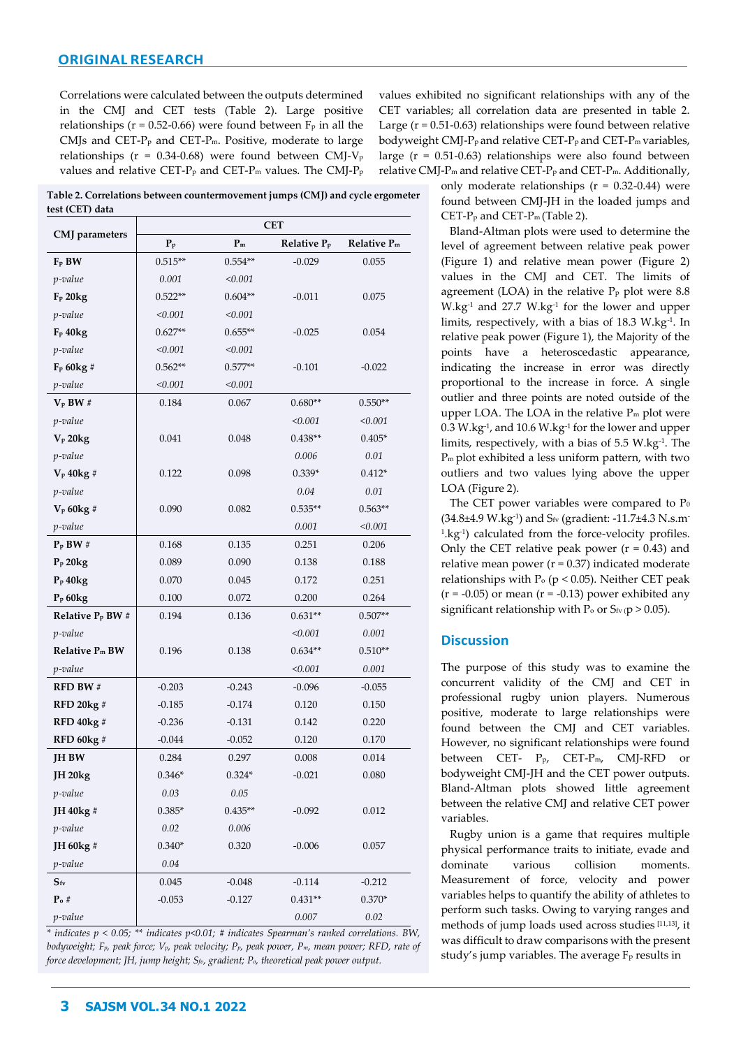Correlations were calculated between the outputs determined in the CMJ and CET tests (Table 2). Large positive relationships ( $r = 0.52-0.66$ ) were found between  $F_p$  in all the CMJs and CET- $P<sub>p</sub>$  and CET- $P<sub>m</sub>$ . Positive, moderate to large relationships ( $r = 0.34$ -0.68) were found between CMJ-V<sub>p</sub> values and relative CET- $P_p$  and CET- $P_m$  values. The CMJ- $P_p$ 

**Table 2. Correlations between countermovement jumps (CMJ) and cycle ergometer test (CET) data**

| CMJ parameters               | <b>CET</b> |           |                         |             |  |  |
|------------------------------|------------|-----------|-------------------------|-------------|--|--|
|                              | $P_p$      | $P_m$     | Relative P <sub>p</sub> | Relative Pm |  |  |
| $F_P$ BW                     | $0.515**$  | $0.554**$ | $-0.029$                | 0.055       |  |  |
| p-value                      | 0.001      | < 0.001   |                         |             |  |  |
| F <sub>p</sub> 20kg          | $0.522**$  | $0.604**$ | $-0.011$                | 0.075       |  |  |
| p-value                      | < 0.001    | < 0.001   |                         |             |  |  |
| $F_P 40kg$                   | $0.627**$  | $0.655**$ | $-0.025$                | 0.054       |  |  |
| p-value                      | < 0.001    | < 0.001   |                         |             |  |  |
| $F_P 60kg#$                  | $0.562**$  | $0.577**$ | $-0.101$                | $-0.022$    |  |  |
| p-value                      | < 0.001    | < 0.001   |                         |             |  |  |
| $V_P$ BW#                    | 0.184      | 0.067     | $0.680**$               | $0.550**$   |  |  |
| p-value                      |            |           | < 0.001                 | < 0.001     |  |  |
| $V_p$ 20 $kg$                | 0.041      | 0.048     | $0.438**$               | $0.405*$    |  |  |
| p-value                      |            |           | 0.006                   | $0.01\,$    |  |  |
| $V_p$ 40 $kg#$               | 0.122      | 0.098     | $0.339*$                | $0.412*$    |  |  |
| p-value                      |            |           | 0.04                    | 0.01        |  |  |
| $V_p 60kg$ #                 | 0.090      | 0.082     | $0.535**$               | $0.563**$   |  |  |
| p-value                      |            |           | 0.001                   | < 0.001     |  |  |
| $P_P$ BW#                    | 0.168      | 0.135     | 0.251                   | 0.206       |  |  |
| $P_P 20kg$                   | 0.089      | 0.090     | 0.138                   | 0.188       |  |  |
| P <sub>p</sub> 40kg          | 0.070      | 0.045     | 0.172                   | 0.251       |  |  |
| P <sub>p</sub> 60kg          | 0.100      | 0.072     | 0.200                   | 0.264       |  |  |
| Relative P <sub>p</sub> BW # | 0.194      | 0.136     | $0.631**$               | $0.507**$   |  |  |
| p-value                      |            |           | < 0.001                 | 0.001       |  |  |
| Relative Pm BW               | 0.196      | 0.138     | $0.634**$               | $0.510**$   |  |  |
| p-value                      |            |           | < 0.001                 | 0.001       |  |  |
| <b>RFD BW#</b>               | $-0.203$   | $-0.243$  | $-0.096$                | $-0.055$    |  |  |
| <b>RFD 20 kg #</b>           | $-0.185$   | $-0.174$  | 0.120                   | 0.150       |  |  |
| <b>RFD 40kg#</b>             | $-0.236$   | $-0.131$  | 0.142                   | 0.220       |  |  |
| <b>RFD 60kg#</b>             | $-0.044$   | $-0.052$  | 0.120                   | 0.170       |  |  |
| <b>JH BW</b>                 | 0.284      | 0.297     | 0.008                   | 0.014       |  |  |
| <b>JH 20kg</b>               | $0.346*$   | $0.324*$  | $-0.021$                | 0.080       |  |  |
| p-value                      | 0.03       | $0.05\,$  |                         |             |  |  |
| JH 40kg #                    | $0.385*$   | $0.435**$ | $-0.092$                | 0.012       |  |  |
| p-value                      | 0.02       | 0.006     |                         |             |  |  |
| JH 60kg #                    | $0.340*$   | 0.320     | $-0.006$                | 0.057       |  |  |
| p-value                      | $0.04\,$   |           |                         |             |  |  |
| $S_{\rm fv}$                 | 0.045      | $-0.048$  | $-0.114$                | $-0.212$    |  |  |
| $\mathbf{P}_\mathbf{o}$ #    | $-0.053$   | $-0.127$  | $0.431**$               | $0.370*$    |  |  |
| p-value                      |            |           | $0.007\,$               | $0.02\,$    |  |  |

*\* indicates p < 0.05; \*\* indicates p<0.01; # indicates Spearman's ranked correlations. BW, bodyweight; Fp, peak force; Vp, peak velocity; Pp, peak power, Pm, mean power; RFD, rate of force development; JH, jump height; Sfv, gradient; Po, theoretical peak power output.* 

values exhibited no significant relationships with any of the CET variables; all correlation data are presented in table 2. Large ( $r = 0.51 - 0.63$ ) relationships were found between relative bodyweight CMJ-P<sub>p</sub> and relative CET-P<sub>p</sub> and CET-P<sub>m</sub> variables, large (r = 0.51-0.63) relationships were also found between relative CMJ-P<sup>m</sup> and relative CET-P<sup>p</sup> and CET-Pm. Additionally,

> only moderate relationships  $(r = 0.32 - 0.44)$  were found between CMJ-JH in the loaded jumps and CET-P<sup>p</sup> and CET-Pm (Table 2).

> Bland-Altman plots were used to determine the level of agreement between relative peak power (Figure 1) and relative mean power (Figure 2) values in the CMJ and CET. The limits of agreement (LOA) in the relative  $P_p$  plot were 8.8  $W \cdot kg^{-1}$  and 27.7  $W \cdot kg^{-1}$  for the lower and upper limits, respectively, with a bias of 18.3 W.kg-1 . In relative peak power (Figure 1), the Majority of the points have a heteroscedastic appearance, indicating the increase in error was directly proportional to the increase in force. A single outlier and three points are noted outside of the upper LOA. The LOA in the relative P<sup>m</sup> plot were  $0.3$  W.kg $^{\text{\tiny 1}}$ , and  $10.6$  W.kg $^{\text{\tiny 1}}$  for the lower and upper limits, respectively, with a bias of 5.5 W.kg-1 . The Pm plot exhibited a less uniform pattern, with two outliers and two values lying above the upper LOA (Figure 2).

> The CET power variables were compared to  $P_0$ (34.8±4.9 W.kg-1 ) and Sfv (gradient: -11.7±4.3 N.s.m-1 .kg-1 ) calculated from the force-velocity profiles. Only the CET relative peak power  $(r = 0.43)$  and relative mean power ( $r = 0.37$ ) indicated moderate relationships with  $P_0$  (p < 0.05). Neither CET peak  $(r = -0.05)$  or mean  $(r = -0.13)$  power exhibited any significant relationship with  $P_0$  or  $S_{fv}$  (p > 0.05).

# **Discussion**

The purpose of this study was to examine the concurrent validity of the CMJ and CET in professional rugby union players. Numerous positive, moderate to large relationships were found between the CMJ and CET variables. However, no significant relationships were found between CET- Pp, CET-Pm, CMJ-RFD or bodyweight CMJ-JH and the CET power outputs. Bland-Altman plots showed little agreement between the relative CMJ and relative CET power variables.

Rugby union is a game that requires multiple physical performance traits to initiate, evade and dominate various collision moments. Measurement of force, velocity and power variables helps to quantify the ability of athletes to perform such tasks. Owing to varying ranges and methods of jump loads used across studies [11,13], it was difficult to draw comparisons with the present study's jump variables. The average  $F<sub>p</sub>$  results in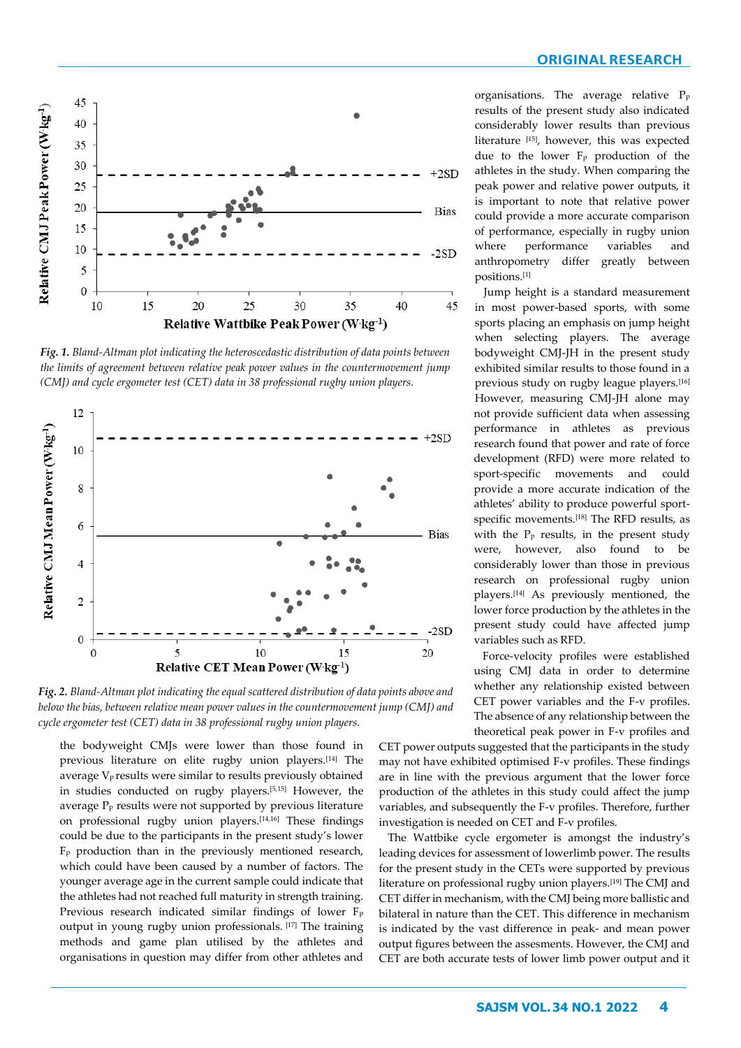

*Fig. 1. Bland-Altman plot indicating the heteroscedastic distribution of data points between the limits of agreement between relative peak power values in the countermovement jump (CMJ) and cycle ergometer test (CET) data in 38 professional rugby union players.*



*Fig. 2. Bland-Altman plot indicating the equal scattered distribution of data points above and below the bias, between relative mean power values in the countermovement jump (CMJ) and cycle ergometer test (CET) data in 38 professional rugby union players.*

the bodyweight CMJs were lower than those found in previous literature on elite rugby union players.[14] The average Vp results were similar to results previously obtained in studies conducted on rugby players.[5,15] However, the average P<sup>p</sup> results were not supported by previous literature on professional rugby union players.[14,16] These findings could be due to the participants in the present study's lower  $F<sub>p</sub>$  production than in the previously mentioned research, which could have been caused by a number of factors. The younger average age in the current sample could indicate that the athletes had not reached full maturity in strength training. Previous research indicated similar findings of lower F<sub>p</sub> output in young rugby union professionals. [17] The training methods and game plan utilised by the athletes and organisations in question may differ from other athletes and

organisations. The average relative P<sup>p</sup> results of the present study also indicated considerably lower results than previous literature [15], however, this was expected due to the lower F<sup>p</sup> production of the athletes in the study. When comparing the peak power and relative power outputs, it is important to note that relative power could provide a more accurate comparison of performance, especially in rugby union where performance variables and anthropometry differ greatly between positions.[1]

Jump height is a standard measurement in most power-based sports, with some sports placing an emphasis on jump height when selecting players. The average bodyweight CMJ-JH in the present study exhibited similar results to those found in a previous study on rugby league players.[16] However, measuring CMJ-JH alone may not provide sufficient data when assessing performance in athletes as previous research found that power and rate of force development (RFD) were more related to sport-specific movements and could provide a more accurate indication of the athletes' ability to produce powerful sportspecific movements.[18] The RFD results, as with the  $P<sub>p</sub>$  results, in the present study were, however, also found to be considerably lower than those in previous research on professional rugby union players.[14] As previously mentioned, the lower force production by the athletes in the present study could have affected jump variables such as RFD.

Force-velocity profiles were established using CMJ data in order to determine whether any relationship existed between CET power variables and the F-v profiles. The absence of any relationship between the theoretical peak power in F-v profiles and

CET power outputs suggested that the participants in the study may not have exhibited optimised F-v profiles. These findings are in line with the previous argument that the lower force production of the athletes in this study could affect the jump variables, and subsequently the F-v profiles. Therefore, further investigation is needed on CET and F-v profiles.

The Wattbike cycle ergometer is amongst the industry's leading devices for assessment of lowerlimb power. The results for the present study in the CETs were supported by previous literature on professional rugby union players.[19] The CMJ and CET differ in mechanism, with the CMJ being more ballistic and bilateral in nature than the CET. This difference in mechanism is indicated by the vast difference in peak- and mean power output figures between the assesments. However, the CMJ and CET are both accurate tests of lower limb power output and it